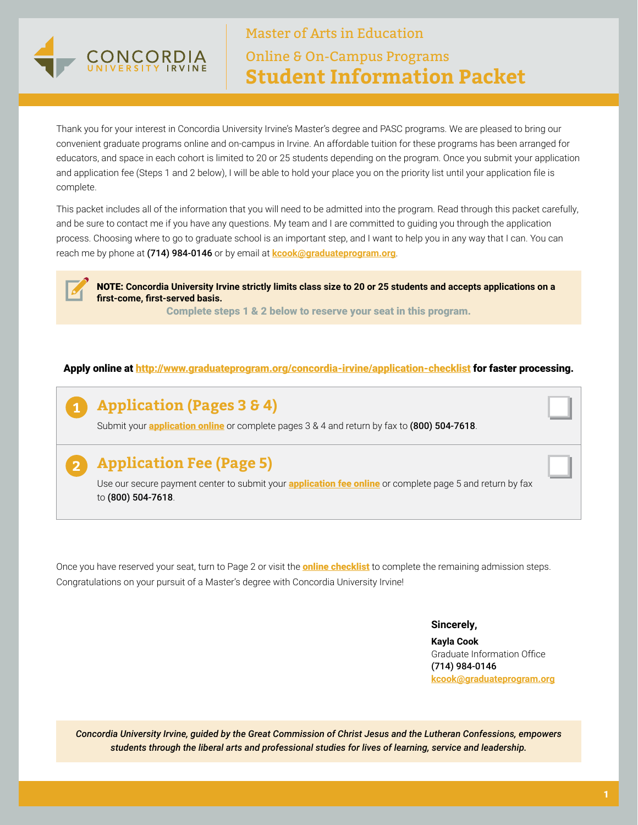

Master of Arts in Education Online & On-Campus Programs **Student Information Packet**

Thank you for your interest in Concordia University Irvine's Master's degree and PASC programs. We are pleased to bring our convenient graduate programs online and on-campus in Irvine. An affordable tuition for these programs has been arranged for educators, and space in each cohort is limited to 20 or 25 students depending on the program. Once you submit your application and application fee (Steps 1 and 2 below), I will be able to hold your place you on the priority list until your application file is complete.

This packet includes all of the information that you will need to be admitted into the program. Read through this packet carefully, and be sure to contact me if you have any questions. My team and I are committed to guiding you through the application process. Choosing where to go to graduate school is an important step, and I want to help you in any way that I can. You can reach me by phone at (714) 984-0146 or by email at **[kcook@graduateprogram.org](mailto:kcook%40graduateprogram.org?subject=)**.

NOTE: **Concordia University Irvine strictly limits class size to 20 or 25 students and accepts applications on a first-come, first-served basis.** 

Complete steps 1 & 2 below to reserve your seat in this program.

#### Apply online at<http://www.graduateprogram.org/concordia-irvine/application-checklist>for faster processing.

# **Application (Pages 3 & 4)**

**1**

**2**

Submit your **[application online](http://www.graduateprogram.org/concordia-irvine/application-checklist)** or complete pages 3 & 4 and return by fax to (800) 504-7618.

# **Application Fee (Page 5)**

Use our secure payment center to submit your **[application fee online](http://www.graduateprogram.org/concordia-irvine/application-checklist)** or complete page 5 and return by fax to (800) 504-7618.

Once you have reserved your seat, turn to Page 2 or visit the **[online checklist](http://www.graduateprogram.org/concordia-irvine/application-checklist)** to complete the remaining admission steps. Congratulations on your pursuit of a Master's degree with Concordia University Irvine!

**Sincerely,** 

**Kayla Cook** Graduate Information Office (714) 984-0146 **[kcook@graduateprogram.org](mailto:kcook%40graduateprogram.org?subject=)**

*Concordia University Irvine, guided by the Great Commission of Christ Jesus and the Lutheran Confessions, empowers students through the liberal arts and professional studies for lives of learning, service and leadership.*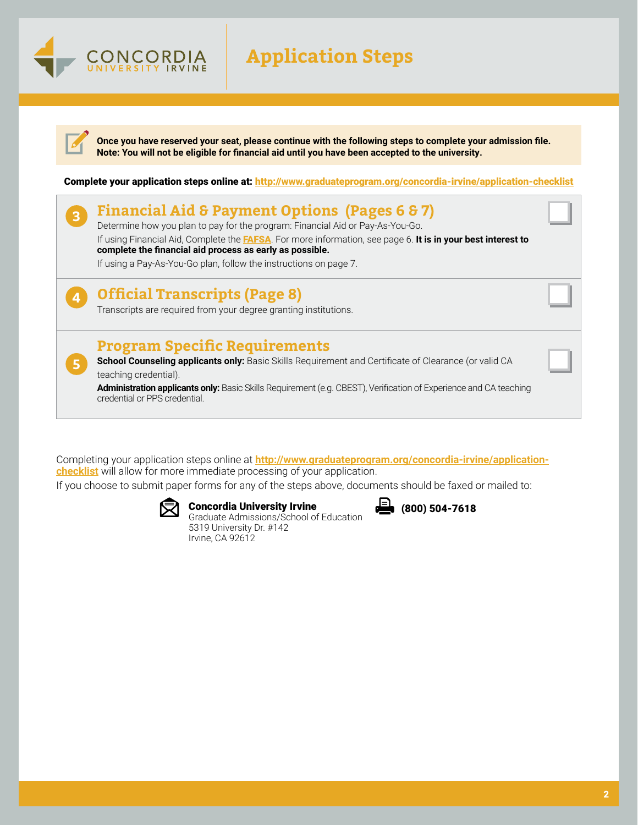# **Application Steps**



ONCORDIA

**Once you have reserved your seat, please continue with the following steps to complete your admission file. Note: You will not be eligible for financial aid until you have been accepted to the university.** 

Complete your application steps online at: <http://www.graduateprogram.org/concordia-irvine/application-checklist>



Completing your application steps online at **[http://www.graduateprogram.org/concordia-irvine/application](http://www.graduateprogram.org/concordia-irvine/application-checklist)[checklist](http://www.graduateprogram.org/concordia-irvine/application-checklist)** will allow for more immediate processing of your application.

If you choose to submit paper forms for any of the steps above, documents should be faxed or mailed to:



Concordia University Irvine

Graduate Admissions/School of Education 5319 University Dr. #142 Irvine, CA 92612

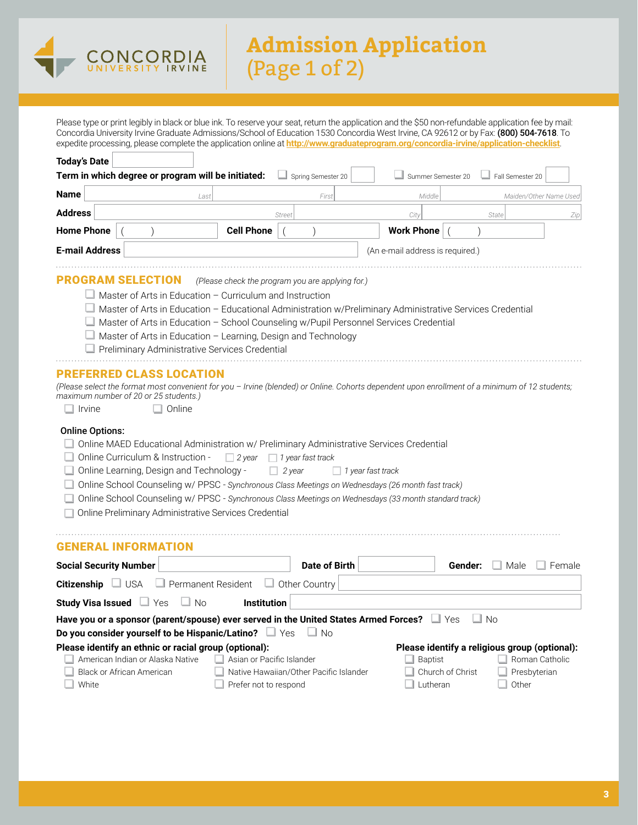

# **Admission Application** (Page 1 of 2)

Please type or print legibly in black or blue ink. To reserve your seat, return the application and the \$50 non-refundable application fee by mail: Concordia University Irvine Graduate Admissions/School of Education 1530 Concordia West Irvine, CA 92612 or by Fax: (800) 504-7618. To expedite processing, please complete the application online at **<http://www.graduateprogram.org/concordia-irvine/application-checklist>**.

| <b>Today's Date</b>                                                                                                                                                                                                                                                                                                                                                                                                                                                                                                                                                                                                                                                                                                                                                                                                                                                                           |                                                    |                                                                                               |                                  |                  |                                                                                          |
|-----------------------------------------------------------------------------------------------------------------------------------------------------------------------------------------------------------------------------------------------------------------------------------------------------------------------------------------------------------------------------------------------------------------------------------------------------------------------------------------------------------------------------------------------------------------------------------------------------------------------------------------------------------------------------------------------------------------------------------------------------------------------------------------------------------------------------------------------------------------------------------------------|----------------------------------------------------|-----------------------------------------------------------------------------------------------|----------------------------------|------------------|------------------------------------------------------------------------------------------|
| Term in which degree or program will be initiated:                                                                                                                                                                                                                                                                                                                                                                                                                                                                                                                                                                                                                                                                                                                                                                                                                                            |                                                    | Spring Semester 20                                                                            | Summer Semester 20               |                  | Fall Semester 20                                                                         |
| <b>Name</b><br>Last                                                                                                                                                                                                                                                                                                                                                                                                                                                                                                                                                                                                                                                                                                                                                                                                                                                                           |                                                    | First                                                                                         | Middle                           |                  | Maiden/Other Name Used                                                                   |
| <b>Address</b>                                                                                                                                                                                                                                                                                                                                                                                                                                                                                                                                                                                                                                                                                                                                                                                                                                                                                |                                                    | Street                                                                                        | City                             | State            | Zip                                                                                      |
| <b>Home Phone</b>                                                                                                                                                                                                                                                                                                                                                                                                                                                                                                                                                                                                                                                                                                                                                                                                                                                                             | <b>Cell Phone</b>                                  |                                                                                               | <b>Work Phone</b>                |                  |                                                                                          |
| <b>E-mail Address</b>                                                                                                                                                                                                                                                                                                                                                                                                                                                                                                                                                                                                                                                                                                                                                                                                                                                                         |                                                    |                                                                                               | (An e-mail address is required.) |                  |                                                                                          |
| PROGRAM SELECTION<br>$\Box$ Master of Arts in Education – Curriculum and Instruction<br>Master of Arts in Education - Educational Administration w/Preliminary Administrative Services Credential<br>Master of Arts in Education - School Counseling w/Pupil Personnel Services Credential<br>$\Box$ Master of Arts in Education - Learning, Design and Technology<br>Preliminary Administrative Services Credential<br><b>PREFERRED CLASS LOCATION</b><br>(Please select the format most convenient for you - Irvine (blended) or Online. Cohorts dependent upon enrollment of a minimum of 12 students;<br>maximum number of 20 or 25 students.)<br>$\Box$ Online<br><b>Irvine</b><br><b>Online Options:</b><br>Online MAED Educational Administration w/ Preliminary Administrative Services Credential<br>Online Curriculum & Instruction -<br>□ Online Learning, Design and Technology - | $\Box$ 2 year                                      | (Please check the program you are applying for.)<br>$\Box$ 1 year fast track<br>$\Box$ 2 year | $\Box$ 1 year fast track         |                  |                                                                                          |
| Online School Counseling w/ PPSC - Synchronous Class Meetings on Wednesdays (26 month fast track)<br>Online School Counseling w/ PPSC - Synchronous Class Meetings on Wednesdays (33 month standard track)<br>Online Preliminary Administrative Services Credential<br><b>GENERAL INFORMATION</b>                                                                                                                                                                                                                                                                                                                                                                                                                                                                                                                                                                                             |                                                    |                                                                                               |                                  |                  |                                                                                          |
| <b>Social Security Number</b>                                                                                                                                                                                                                                                                                                                                                                                                                                                                                                                                                                                                                                                                                                                                                                                                                                                                 |                                                    | <b>Date of Birth</b>                                                                          |                                  | Gender:          | ⊥ Male<br>$\Box$ Female                                                                  |
| Citizenship USA<br>$\Box$ Permanent Resident                                                                                                                                                                                                                                                                                                                                                                                                                                                                                                                                                                                                                                                                                                                                                                                                                                                  |                                                    | $\Box$ Other Country                                                                          |                                  |                  |                                                                                          |
| Study Visa Issued $\Box$ Yes<br>$\Box$ No                                                                                                                                                                                                                                                                                                                                                                                                                                                                                                                                                                                                                                                                                                                                                                                                                                                     | <b>Institution</b>                                 |                                                                                               |                                  |                  |                                                                                          |
| Have you or a sponsor (parent/spouse) ever served in the United States Armed Forces? $\Box$ Yes                                                                                                                                                                                                                                                                                                                                                                                                                                                                                                                                                                                                                                                                                                                                                                                               |                                                    |                                                                                               |                                  | ⊥ No             |                                                                                          |
| Do you consider yourself to be Hispanic/Latino? If Yes                                                                                                                                                                                                                                                                                                                                                                                                                                                                                                                                                                                                                                                                                                                                                                                                                                        |                                                    | ⊥ No                                                                                          |                                  |                  |                                                                                          |
| Please identify an ethnic or racial group (optional):<br>American Indian or Alaska Native<br><b>Black or African American</b><br>White                                                                                                                                                                                                                                                                                                                                                                                                                                                                                                                                                                                                                                                                                                                                                        | Asian or Pacific Islander<br>Prefer not to respond | Native Hawaiian/Other Pacific Islander                                                        | <b>Baptist</b><br>⊥ Lutheran     | Church of Christ | Please identify a religious group (optional):<br>Roman Catholic<br>Presbyterian<br>Other |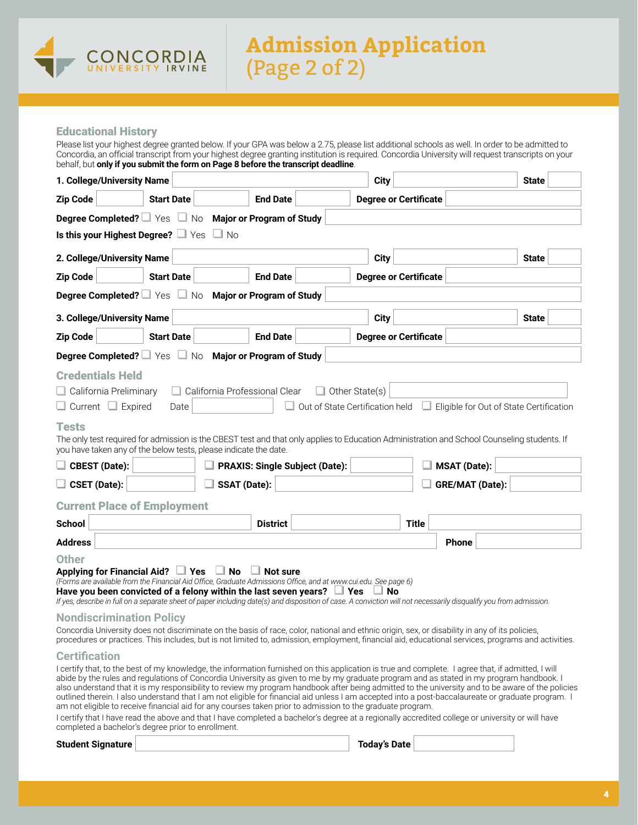

#### Educational History

Please list your highest degree granted below. If your GPA was below a 2.75, please list additional schools as well. In order to be admitted to Concordia, an official transcript from your highest degree granting institution is required. Concordia University will request transcripts on your behalf, but **only if you submit the form on Page 8 before the transcript deadline**.

| 1. College/University Name                                                                                                            |                   |                     |                                       | <b>City</b>                                                                                                                                                                                                                                                                                                                                                                                                          |                     | <b>State</b>                                                                                                                                                                                                                                                                                                                                                                                                                                        |
|---------------------------------------------------------------------------------------------------------------------------------------|-------------------|---------------------|---------------------------------------|----------------------------------------------------------------------------------------------------------------------------------------------------------------------------------------------------------------------------------------------------------------------------------------------------------------------------------------------------------------------------------------------------------------------|---------------------|-----------------------------------------------------------------------------------------------------------------------------------------------------------------------------------------------------------------------------------------------------------------------------------------------------------------------------------------------------------------------------------------------------------------------------------------------------|
| <b>Zip Code</b>                                                                                                                       | <b>Start Date</b> |                     | <b>End Date</b>                       | <b>Degree or Certificate</b>                                                                                                                                                                                                                                                                                                                                                                                         |                     |                                                                                                                                                                                                                                                                                                                                                                                                                                                     |
| <b>Degree Completed?</b> $\Box$ Yes $\Box$ No Major or Program of Study                                                               |                   |                     |                                       |                                                                                                                                                                                                                                                                                                                                                                                                                      |                     |                                                                                                                                                                                                                                                                                                                                                                                                                                                     |
| Is this your Highest Degree? If Yes In No.                                                                                            |                   |                     |                                       |                                                                                                                                                                                                                                                                                                                                                                                                                      |                     |                                                                                                                                                                                                                                                                                                                                                                                                                                                     |
| 2. College/University Name                                                                                                            |                   |                     |                                       | <b>City</b>                                                                                                                                                                                                                                                                                                                                                                                                          |                     | <b>State</b>                                                                                                                                                                                                                                                                                                                                                                                                                                        |
| <b>Zip Code</b>                                                                                                                       | <b>Start Date</b> |                     | <b>End Date</b>                       | <b>Degree or Certificate</b>                                                                                                                                                                                                                                                                                                                                                                                         |                     |                                                                                                                                                                                                                                                                                                                                                                                                                                                     |
| Degree Completed? I Yes No Major or Program of Study                                                                                  |                   |                     |                                       |                                                                                                                                                                                                                                                                                                                                                                                                                      |                     |                                                                                                                                                                                                                                                                                                                                                                                                                                                     |
| 3. College/University Name                                                                                                            |                   |                     |                                       | <b>City</b>                                                                                                                                                                                                                                                                                                                                                                                                          |                     | <b>State</b>                                                                                                                                                                                                                                                                                                                                                                                                                                        |
| <b>Zip Code</b>                                                                                                                       | <b>Start Date</b> |                     | <b>End Date</b>                       | <b>Degree or Certificate</b>                                                                                                                                                                                                                                                                                                                                                                                         |                     |                                                                                                                                                                                                                                                                                                                                                                                                                                                     |
| <b>Degree Completed?</b> $\Box$ Yes $\Box$ No Major or Program of Study                                                               |                   |                     |                                       |                                                                                                                                                                                                                                                                                                                                                                                                                      |                     |                                                                                                                                                                                                                                                                                                                                                                                                                                                     |
| $\Box$ Current $\Box$ Expired<br><b>Tests</b>                                                                                         | Date              |                     |                                       | □ Out of State Certification held                                                                                                                                                                                                                                                                                                                                                                                    |                     | $\Box$ Eligible for Out of State Certification<br>The only test required for admission is the CBEST test and that only applies to Education Administration and School Counseling students. If                                                                                                                                                                                                                                                       |
| you have taken any of the below tests, please indicate the date.                                                                      |                   |                     |                                       |                                                                                                                                                                                                                                                                                                                                                                                                                      |                     |                                                                                                                                                                                                                                                                                                                                                                                                                                                     |
| $\Box$ CBEST (Date):                                                                                                                  |                   |                     | <b>PRAXIS: Single Subject (Date):</b> |                                                                                                                                                                                                                                                                                                                                                                                                                      | <b>MSAT</b> (Date): |                                                                                                                                                                                                                                                                                                                                                                                                                                                     |
| $\Box$ CSET (Date):                                                                                                                   |                   | <b>SSAT (Date):</b> |                                       |                                                                                                                                                                                                                                                                                                                                                                                                                      | GRE/MAT (Date):     |                                                                                                                                                                                                                                                                                                                                                                                                                                                     |
| <b>Current Place of Employment</b>                                                                                                    |                   |                     |                                       |                                                                                                                                                                                                                                                                                                                                                                                                                      |                     |                                                                                                                                                                                                                                                                                                                                                                                                                                                     |
| School                                                                                                                                |                   |                     | <b>District</b>                       |                                                                                                                                                                                                                                                                                                                                                                                                                      | <b>Title</b>        |                                                                                                                                                                                                                                                                                                                                                                                                                                                     |
| <b>Address</b>                                                                                                                        |                   |                     |                                       |                                                                                                                                                                                                                                                                                                                                                                                                                      | <b>Phone</b>        |                                                                                                                                                                                                                                                                                                                                                                                                                                                     |
| <b>Other</b><br>Applying for Financial Aid? $\Box$ Yes<br>Have you been convicted of a felony within the last seven years? $\Box$ Yes |                   | $\Box$ No<br>$\Box$ | <b>Not sure</b>                       | (Forms are available from the Financial Aid Office, Graduate Admissions Office, and at www.cui.edu. See page 6)<br>$\Box$ No<br>If yes, describe in full on a separate sheet of paper including date(s) and disposition of case. A conviction will not necessarily disqualify you from admission.                                                                                                                    |                     |                                                                                                                                                                                                                                                                                                                                                                                                                                                     |
| <b>Nondiscrimination Policy</b>                                                                                                       |                   |                     |                                       |                                                                                                                                                                                                                                                                                                                                                                                                                      |                     |                                                                                                                                                                                                                                                                                                                                                                                                                                                     |
|                                                                                                                                       |                   |                     |                                       | Concordia University does not discriminate on the basis of race, color, national and ethnic origin, sex, or disability in any of its policies,                                                                                                                                                                                                                                                                       |                     | procedures or practices. This includes, but is not limited to, admission, employment, financial aid, educational services, programs and activities.                                                                                                                                                                                                                                                                                                 |
| <b>Certification</b>                                                                                                                  |                   |                     |                                       |                                                                                                                                                                                                                                                                                                                                                                                                                      |                     |                                                                                                                                                                                                                                                                                                                                                                                                                                                     |
| completed a bachelor's degree prior to enrollment.                                                                                    |                   |                     |                                       | I certify that, to the best of my knowledge, the information furnished on this application is true and complete. I agree that, if admitted, I will<br>am not eligible to receive financial aid for any courses taken prior to admission to the graduate program.<br>I certify that I have read the above and that I have completed a bachelor's degree at a regionally accredited college or university or will have |                     | abide by the rules and regulations of Concordia University as given to me by my graduate program and as stated in my program handbook. I<br>also understand that it is my responsibility to review my program handbook after being admitted to the university and to be aware of the policies<br>outlined therein. I also understand that I am not eligible for financial aid unless I am accepted into a post-baccalaureate or graduate program. I |

#### **Student Signature Today's Date**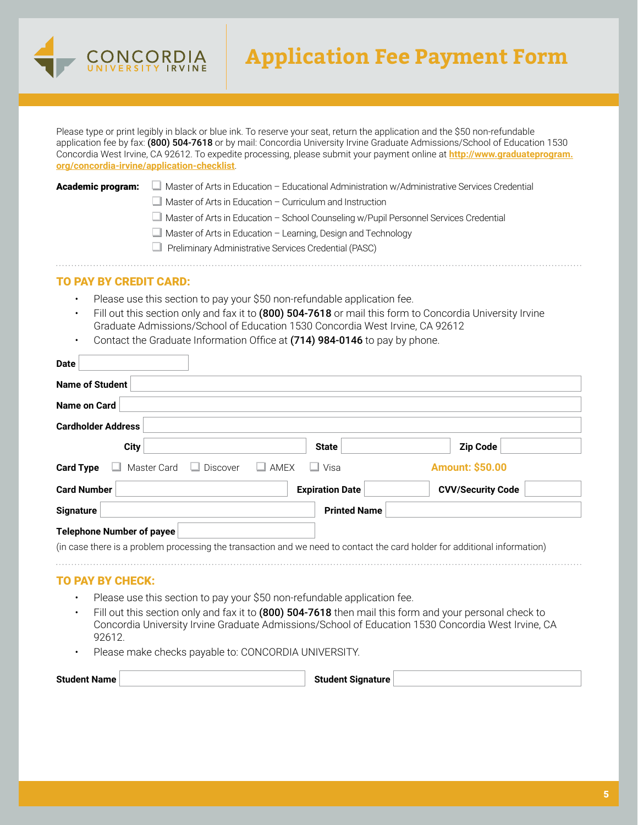

# **Application Fee Payment Form**

Please type or print legibly in black or blue ink. To reserve your seat, return the application and the \$50 non-refundable application fee by fax: (800) 504-7618 or by mail: Concordia University Irvine Graduate Admissions/School of Education 1530 Concordia West Irvine, CA 92612. To expedite processing, please submit your payment online at **[http://www.graduateprogram.](http://www.graduateprogram.org/concordia-irvine/application-checklist) [org/concordia-irvine/application-checklist](http://www.graduateprogram.org/concordia-irvine/application-checklist)**.

Academic program: Master of Arts in Education – Educational Administration w/Administrative Services Credential

 $\Box$  Master of Arts in Education – Curriculum and Instruction

 $\Box$  Master of Arts in Education – School Counseling w/Pupil Personnel Services Credential

 $\Box$  Master of Arts in Education – Learning, Design and Technology

 $\Box$  Preliminary Administrative Services Credential (PASC)

#### TO PAY BY CREDIT CARD:

- Please use this section to pay your \$50 non-refundable application fee.
- Fill out this section only and fax it to (800) 504-7618 or mail this form to Concordia University Irvine Graduate Admissions/School of Education 1530 Concordia West Irvine, CA 92612
- Contact the Graduate Information Office at (714) 984-0146 to pay by phone.

| Name on Card                     |                         |                        |                                                                                                                           |
|----------------------------------|-------------------------|------------------------|---------------------------------------------------------------------------------------------------------------------------|
| <b>Cardholder Address</b>        |                         |                        |                                                                                                                           |
| <b>City</b>                      |                         | <b>State</b>           | <b>Zip Code</b>                                                                                                           |
| Master Card<br><b>Card Type</b>  | Discover<br>$\Box$ amex | ∟l Visa                | <b>Amount: \$50.00</b>                                                                                                    |
| <b>Card Number</b>               |                         | <b>Expiration Date</b> | <b>CVV/Security Code</b>                                                                                                  |
| <b>Signature</b>                 |                         | <b>Printed Name</b>    |                                                                                                                           |
| <b>Telephone Number of payee</b> |                         |                        |                                                                                                                           |
|                                  |                         |                        | (in case there is a problem processing the transaction and we need to contact the card holder for additional information) |

- Fill out this section only and fax it to (800) 504-7618 then mail this form and your personal check to Concordia University Irvine Graduate Admissions/School of Education 1530 Concordia West Irvine, CA 92612.
- Please make checks payable to: CONCORDIA UNIVERSITY.

| <b>Student Name</b> | <b>Student Signature</b> |  |
|---------------------|--------------------------|--|
|---------------------|--------------------------|--|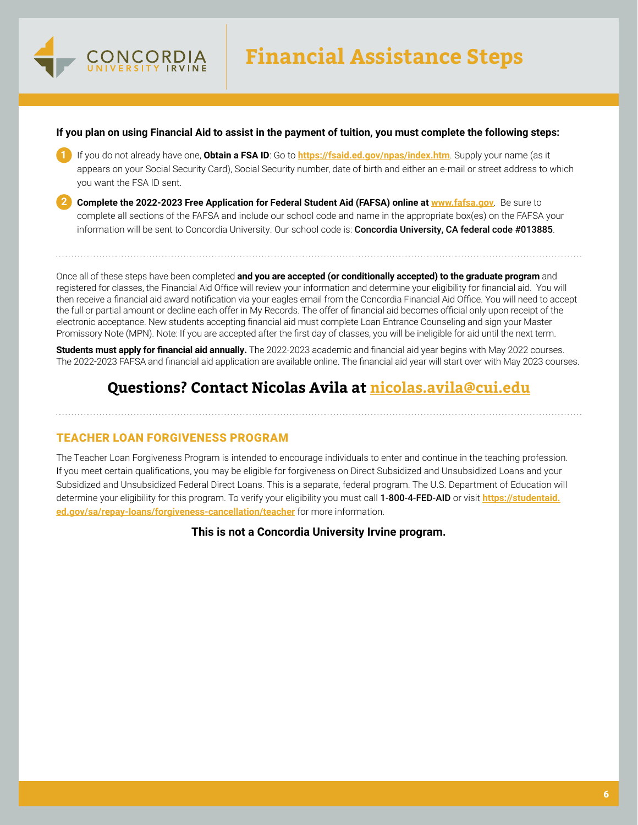

#### **If you plan on using Financial Aid to assist in the payment of tuition, you must complete the following steps:**

- **1** If you do not already have one, **Obtain a FSA ID**: Go to **<https://fsaid.ed.gov/npas/index.htm>**. Supply your name (as it appears on your Social Security Card), Social Security number, date of birth and either an e-mail or street address to which you want the FSA ID sent.
- **2 Complete the 2022-2023 Free Application for Federal Student Aid (FAFSA) online at <www.fafsa.gov>**. Be sure to complete all sections of the FAFSA and include our school code and name in the appropriate box(es) on the FAFSA your information will be sent to Concordia University. Our school code is: Concordia University, CA federal code #013885.

Once all of these steps have been completed **and you are accepted (or conditionally accepted) to the graduate program** and registered for classes, the Financial Aid Office will review your information and determine your eligibility for financial aid. You will then receive a financial aid award notification via your eagles email from the Concordia Financial Aid Office. You will need to accept the full or partial amount or decline each offer in My Records. The offer of financial aid becomes official only upon receipt of the electronic acceptance. New students accepting financial aid must complete Loan Entrance Counseling and sign your Master Promissory Note (MPN). Note: If you are accepted after the first day of classes, you will be ineligible for aid until the next term.

**Students must apply for financial aid annually.** The 2022-2023 academic and financial aid year begins with May 2022 courses. The 2022-2023 FAFSA and financial aid application are available online. The financial aid year will start over with May 2023 courses.

# **Questions? Contact Nicolas Avila at [nicolas.avila@cui.edu](mailto:nicolas.avila%40cui.edu?subject=)**

#### TEACHER LOAN FORGIVENESS PROGRAM

The Teacher Loan Forgiveness Program is intended to encourage individuals to enter and continue in the teaching profession. If you meet certain qualifications, you may be eligible for forgiveness on Direct Subsidized and Unsubsidized Loans and your Subsidized and Unsubsidized Federal Direct Loans. This is a separate, federal program. The U.S. Department of Education will determine your eligibility for this program. To verify your eligibility you must call 1-800-4-FED-AID or visit **[https://studentaid.](https://studentaid.ed.gov/sa/repay-loans/forgiveness-cancellation/teacher) [ed.gov/sa/repay-loans/forgiveness-cancellation/teacher](https://studentaid.ed.gov/sa/repay-loans/forgiveness-cancellation/teacher)** for more information.

**This is not a Concordia University Irvine program.**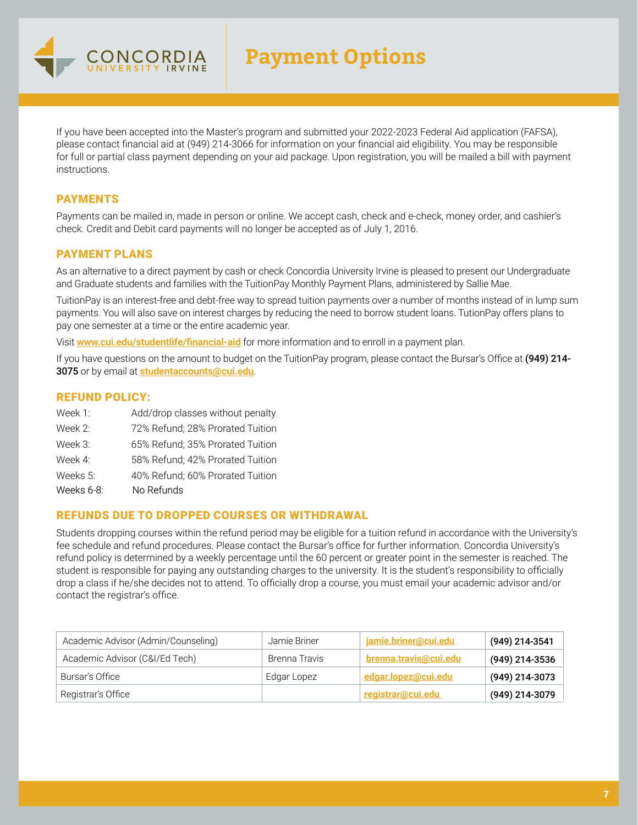

If you have been accepted into the Master's program and submitted your 2022-2023 Federal Aid application (FAFSA), please contact financial aid at (949) 214-3066 for information on your financial aid eligibility. You may be responsible for full or partial class payment depending on your aid package. Upon registration, you will be mailed a bill with payment instructions.

### PAYMENTS

Payments can be mailed in, made in person or online. We accept cash, check and e-check, money order, and cashier's check. Credit and Debit card payments will no longer be accepted as of July 1, 2016.

### PAYMENT PLANS

As an alternative to a direct payment by cash or check Concordia University Irvine is pleased to present our Undergraduate and Graduate students and families with the TuitionPay Monthly Payment Plans, administered by Sallie Mae.

TuitionPay is an interest-free and debt-free way to spread tuition payments over a number of months instead of in lump sum payments. You will also save on interest charges by reducing the need to borrow student loans. TutionPay offers plans to pay one semester at a time or the entire academic year.

Visit **[www.cui.edu/studentlife/financial-aid](http://www.cui.edu/studentlife/financial-aid)** for more information and to enroll in a payment plan.

If you have questions on the amount to budget on the TuitionPay program, please contact the Bursar's Office at (949) 214-3075 or by email at **[studentaccounts@cui.edu](mailto:studentaccounts%40cui.edu?subject=)**.

### REFUND POLICY:

| Week 1: | Add/drop classes without penalty |  |
|---------|----------------------------------|--|
|         |                                  |  |

- Week 2: 72% Refund; 28% Prorated Tuition
- Week 3: 65% Refund; 35% Prorated Tuition
- Week 4: 58% Refund; 42% Prorated Tuition
- Weeks 5: 40% Refund; 60% Prorated Tuition

Weeks 6-8: No Refunds

### REFUNDS DUE TO DROPPED COURSES OR WITHDRAWAL

Students dropping courses within the refund period may be eligible for a tuition refund in accordance with the University's fee schedule and refund procedures. Please contact the Bursar's office for further information. Concordia University's refund policy is determined by a weekly percentage until the 60 percent or greater point in the semester is reached. The student is responsible for paying any outstanding charges to the university. It is the student's responsibility to officially drop a class if he/she decides not to attend. To officially drop a course, you must email your academic advisor and/or contact the registrar's office.

| Academic Advisor (Admin/Counseling) | Jamie Briner  | jamie.briner@cui.edu  | (949) 214-3541 |
|-------------------------------------|---------------|-----------------------|----------------|
| Academic Advisor (C&I/Ed Tech)      | Brenna Travis | brenna.travis@cui.edu | (949) 214-3536 |
| Bursar's Office                     | Edgar Lopez   | edgar.lopez@cui.edu   | (949) 214-3073 |
| Registrar's Office                  |               | registrar@cui.edu     | (949) 214-3079 |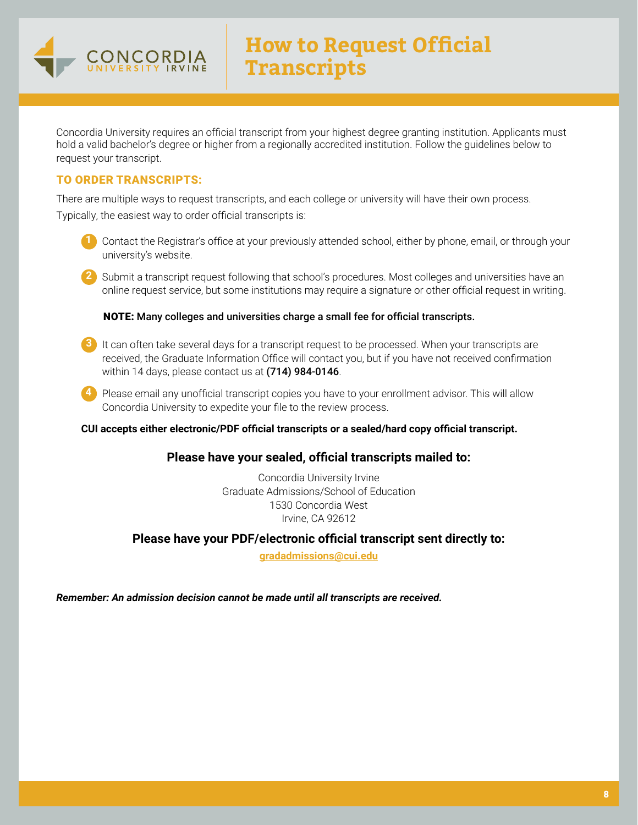

Concordia University requires an official transcript from your highest degree granting institution. Applicants must hold a valid bachelor's degree or higher from a regionally accredited institution. Follow the guidelines below to request your transcript.

### TO ORDER TRANSCRIPTS:

There are multiple ways to request transcripts, and each college or university will have their own process.

Typically, the easiest way to order official transcripts is:

- **1** Contact the Registrar's office at your previously attended school, either by phone, email, or through your university's website.
- **2** Submit a transcript request following that school's procedures. Most colleges and universities have an online request service, but some institutions may require a signature or other official request in writing.

NOTE: Many colleges and universities charge a small fee for official transcripts.

- **3** It can often take several days for a transcript request to be processed. When your transcripts are received, the Graduate Information Office will contact you, but if you have not received confirmation within 14 days, please contact us at (714) 984-0146.
- **4** Please email any unofficial transcript copies you have to your enrollment advisor. This will allow Concordia University to expedite your file to the review process.

### **CUI accepts either electronic/PDF official transcripts or a sealed/hard copy official transcript.**

### **Please have your sealed, official transcripts mailed to:**

Concordia University Irvine Graduate Admissions/School of Education 1530 Concordia West Irvine, CA 92612

### **Please have your PDF/electronic official transcript sent directly to:**

**[gradadmissions@cui.edu](mailto:gradadmissions%40cui.edu?subject=)**

*Remember: An admission decision cannot be made until all transcripts are received.*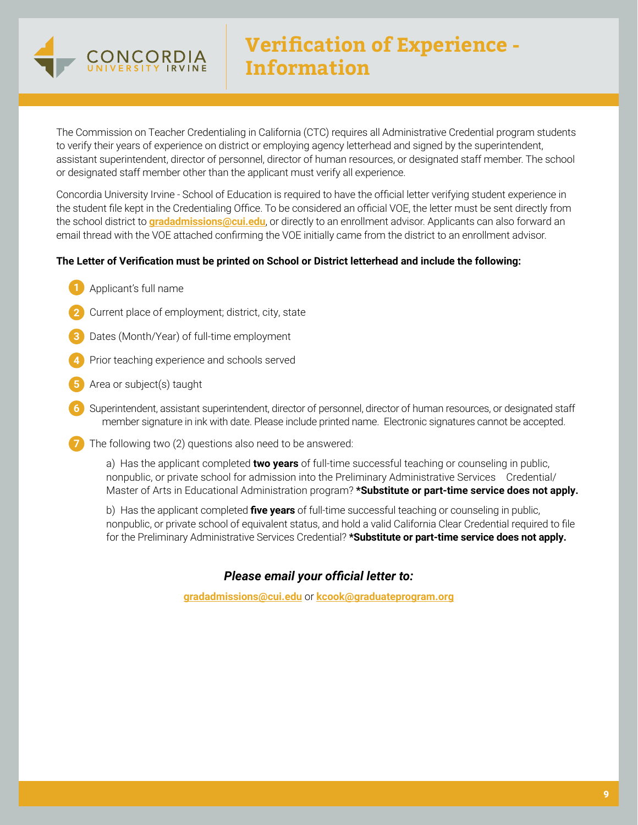

The Commission on Teacher Credentialing in California (CTC) requires all Administrative Credential program students to verify their years of experience on district or employing agency letterhead and signed by the superintendent, assistant superintendent, director of personnel, director of human resources, or designated staff member. The school or designated staff member other than the applicant must verify all experience.

Concordia University Irvine - School of Education is required to have the official letter verifying student experience in the student file kept in the Credentialing Office. To be considered an official VOE, the letter must be sent directly from the school district to **[gradadmissions@cui.edu](mailto:gradadmissions%40cui.edu?subject=)**, or directly to an enrollment advisor. Applicants can also forward an email thread with the VOE attached confirming the VOE initially came from the district to an enrollment advisor.

### **The Letter of Verification must be printed on School or District letterhead and include the following:**

- **1** Applicant's full name
- **2** Current place of employment; district, city, state
- **3** Dates (Month/Year) of full-time employment
- **4** Prior teaching experience and schools served
- **5** Area or subject(s) taught
- **6** Superintendent, assistant superintendent, director of personnel, director of human resources, or designated staff member signature in ink with date. Please include printed name. Electronic signatures cannot be accepted.
- **7** The following two (2) questions also need to be answered:

a) Has the applicant completed **two years** of full-time successful teaching or counseling in public, nonpublic, or private school for admission into the Preliminary Administrative Services Credential/ Master of Arts in Educational Administration program? **\*Substitute or part-time service does not apply.**

b) Has the applicant completed **five years** of full-time successful teaching or counseling in public, nonpublic, or private school of equivalent status, and hold a valid California Clear Credential required to file for the Preliminary Administrative Services Credential? **\*Substitute or part-time service does not apply.** 

### *Please email your official letter to:*

**[gradadmissions@cui.edu](mailto:gradadmissions%40cui.edu?subject=)** or **[kcook@graduateprogram.org](mailto:kcook%40graduateprogram.org?subject=)**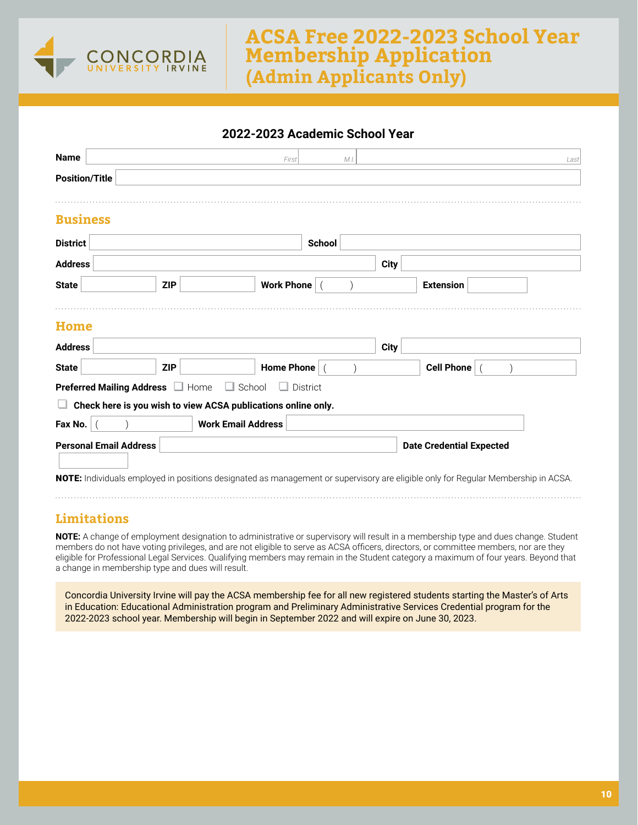

# **ACSA Free 2022-2023 School Year Membership Application (Admin Applicants Only)**

### **2022-2023 Academic School Year**

| <b>Name</b>                   |                                | First                                                                                                                             |                 | M.I. |             |                                 | Last |
|-------------------------------|--------------------------------|-----------------------------------------------------------------------------------------------------------------------------------|-----------------|------|-------------|---------------------------------|------|
| <b>Position/Title</b>         |                                |                                                                                                                                   |                 |      |             |                                 |      |
|                               |                                |                                                                                                                                   |                 |      |             |                                 |      |
| <b>Business</b>               |                                |                                                                                                                                   |                 |      |             |                                 |      |
| <b>District</b>               |                                |                                                                                                                                   | <b>School</b>   |      |             |                                 |      |
| <b>Address</b>                |                                |                                                                                                                                   |                 |      | <b>City</b> |                                 |      |
| <b>State</b>                  | <b>ZIP</b>                     | Work Phone   (                                                                                                                    |                 |      |             | <b>Extension</b>                |      |
|                               |                                |                                                                                                                                   |                 |      |             |                                 |      |
| <b>Home</b>                   |                                |                                                                                                                                   |                 |      |             |                                 |      |
| <b>Address</b>                |                                |                                                                                                                                   |                 |      | <b>City</b> |                                 |      |
| <b>State</b>                  | <b>ZIP</b>                     | <b>Home Phone</b>                                                                                                                 |                 |      |             | Cell Phone                      |      |
|                               | Preferred Mailing Address Home | $\Box$ School                                                                                                                     | $\Box$ District |      |             |                                 |      |
|                               |                                | Check here is you wish to view ACSA publications online only.                                                                     |                 |      |             |                                 |      |
| Fax No.                       |                                | <b>Work Email Address</b>                                                                                                         |                 |      |             |                                 |      |
| <b>Personal Email Address</b> |                                |                                                                                                                                   |                 |      |             | <b>Date Credential Expected</b> |      |
|                               |                                |                                                                                                                                   |                 |      |             |                                 |      |
|                               |                                | NOTE: Individuals employed in positions designated as management or supervisory are eligible only for Regular Membership in ACSA. |                 |      |             |                                 |      |

### **Limitations**

**NOTE:** A change of employment designation to administrative or supervisory will result in a membership type and dues change. Student members do not have voting privileges, and are not eligible to serve as ACSA officers, directors, or committee members, nor are they eligible for Professional Legal Services. Qualifying members may remain in the Student category a maximum of four years. Beyond that a change in membership type and dues will result.

Concordia University Irvine will pay the ACSA membership fee for all new registered students starting the Master's of Arts in Education: Educational Administration program and Preliminary Administrative Services Credential program for the 2022-2023 school year. Membership will begin in September 2022 and will expire on June 30, 2023.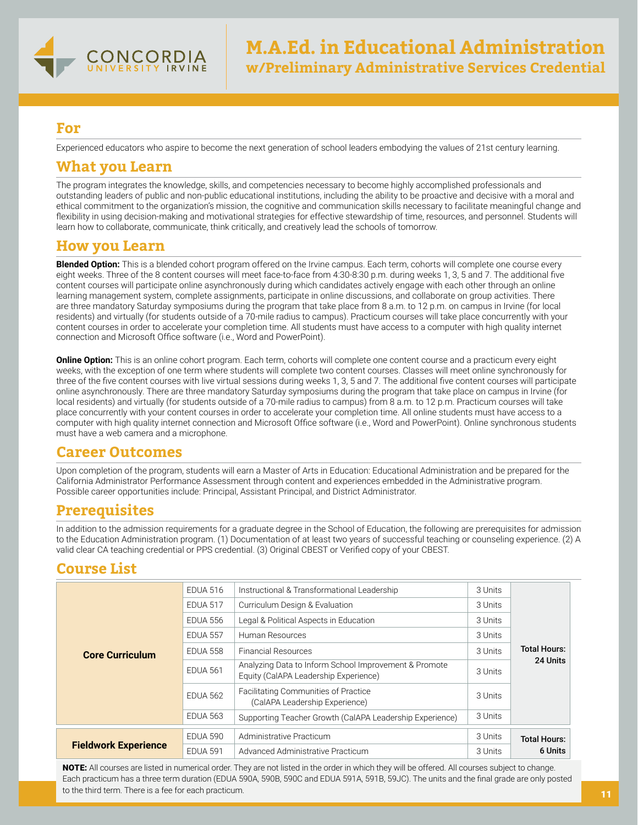

Experienced educators who aspire to become the next generation of school leaders embodying the values of 21st century learning.

### **What you Learn**

The program integrates the knowledge, skills, and competencies necessary to become highly accomplished professionals and outstanding leaders of public and non-public educational institutions, including the ability to be proactive and decisive with a moral and ethical commitment to the organization's mission, the cognitive and communication skills necessary to facilitate meaningful change and flexibility in using decision-making and motivational strategies for effective stewardship of time, resources, and personnel. Students will learn how to collaborate, communicate, think critically, and creatively lead the schools of tomorrow.

### **How you Learn**

**Blended Option:** This is a blended cohort program offered on the Irvine campus. Each term, cohorts will complete one course every eight weeks. Three of the 8 content courses will meet face-to-face from 4:30-8:30 p.m. during weeks 1, 3, 5 and 7. The additional five content courses will participate online asynchronously during which candidates actively engage with each other through an online learning management system, complete assignments, participate in online discussions, and collaborate on group activities. There are three mandatory Saturday symposiums during the program that take place from 8 a.m. to 12 p.m. on campus in Irvine (for local residents) and virtually (for students outside of a 70-mile radius to campus). Practicum courses will take place concurrently with your content courses in order to accelerate your completion time. All students must have access to a computer with high quality internet connection and Microsoft Office software (i.e., Word and PowerPoint).

**Online Option:** This is an online cohort program. Each term, cohorts will complete one content course and a practicum every eight weeks, with the exception of one term where students will complete two content courses. Classes will meet online synchronously for three of the five content courses with live virtual sessions during weeks 1, 3, 5 and 7. The additional five content courses will participate online asynchronously. There are three mandatory Saturday symposiums during the program that take place on campus in Irvine (for local residents) and virtually (for students outside of a 70-mile radius to campus) from 8 a.m. to 12 p.m. Practicum courses will take place concurrently with your content courses in order to accelerate your completion time. All online students must have access to a computer with high quality internet connection and Microsoft Office software (i.e., Word and PowerPoint). Online synchronous students must have a web camera and a microphone.

# **Career Outcomes**

Upon completion of the program, students will earn a Master of Arts in Education: Educational Administration and be prepared for the California Administrator Performance Assessment through content and experiences embedded in the Administrative program. Possible career opportunities include: Principal, Assistant Principal, and District Administrator.

# **Prerequisites**

In addition to the admission requirements for a graduate degree in the School of Education, the following are prerequisites for admission to the Education Administration program. (1) Documentation of at least two years of successful teaching or counseling experience. (2) A valid clear CA teaching credential or PPS credential. (3) Original CBEST or Verified copy of your CBEST.

# **Course List**

| <b>Core Curriculum</b>      | <b>EDUA 516</b> | Instructional & Transformational Leadership                                                    | 3 Units |                     |  |
|-----------------------------|-----------------|------------------------------------------------------------------------------------------------|---------|---------------------|--|
|                             | <b>EDUA 517</b> | Curriculum Design & Evaluation                                                                 | 3 Units |                     |  |
|                             | <b>EDUA 556</b> | Legal & Political Aspects in Education                                                         | 3 Units |                     |  |
|                             | <b>EDUA 557</b> | Human Resources                                                                                | 3 Units |                     |  |
|                             | <b>EDUA 558</b> | <b>Financial Resources</b>                                                                     | 3 Units | <b>Total Hours:</b> |  |
|                             | <b>EDUA 561</b> | Analyzing Data to Inform School Improvement & Promote<br>Equity (CalAPA Leadership Experience) | 3 Units | 24 Units            |  |
|                             | <b>EDUA 562</b> | <b>Facilitating Communities of Practice</b><br>(CalAPA Leadership Experience)                  | 3 Units |                     |  |
|                             | <b>EDUA 563</b> | Supporting Teacher Growth (CalAPA Leadership Experience)                                       | 3 Units |                     |  |
| <b>Fieldwork Experience</b> | <b>EDUA 590</b> | Administrative Practicum                                                                       | 3 Units | <b>Total Hours:</b> |  |
|                             | <b>EDUA 591</b> | Advanced Administrative Practicum                                                              | 3 Units | 6 Units             |  |

NOTE: All courses are listed in numerical order. They are not listed in the order in which they will be offered. All courses subject to change. Each practicum has a three term duration (EDUA 590A, 590B, 590C and EDUA 591A, 591B, 59JC). The units and the final grade are only posted to the third term. There is a fee for each practicum.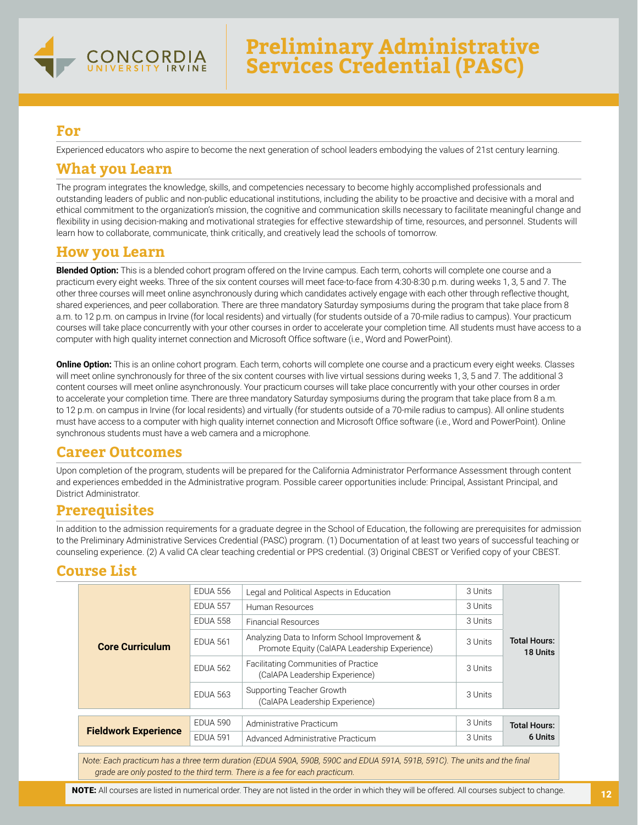

Experienced educators who aspire to become the next generation of school leaders embodying the values of 21st century learning.

### **What you Learn**

The program integrates the knowledge, skills, and competencies necessary to become highly accomplished professionals and outstanding leaders of public and non-public educational institutions, including the ability to be proactive and decisive with a moral and ethical commitment to the organization's mission, the cognitive and communication skills necessary to facilitate meaningful change and flexibility in using decision-making and motivational strategies for effective stewardship of time, resources, and personnel. Students will learn how to collaborate, communicate, think critically, and creatively lead the schools of tomorrow.

# **How you Learn**

**Blended Option:** This is a blended cohort program offered on the Irvine campus. Each term, cohorts will complete one course and a practicum every eight weeks. Three of the six content courses will meet face-to-face from 4:30-8:30 p.m. during weeks 1, 3, 5 and 7. The other three courses will meet online asynchronously during which candidates actively engage with each other through reflective thought, shared experiences, and peer collaboration. There are three mandatory Saturday symposiums during the program that take place from 8 a.m. to 12 p.m. on campus in Irvine (for local residents) and virtually (for students outside of a 70-mile radius to campus). Your practicum courses will take place concurrently with your other courses in order to accelerate your completion time. All students must have access to a computer with high quality internet connection and Microsoft Office software (i.e., Word and PowerPoint).

**Online Option:** This is an online cohort program. Each term, cohorts will complete one course and a practicum every eight weeks. Classes will meet online synchronously for three of the six content courses with live virtual sessions during weeks 1, 3, 5 and 7. The additional 3 content courses will meet online asynchronously. Your practicum courses will take place concurrently with your other courses in order to accelerate your completion time. There are three mandatory Saturday symposiums during the program that take place from 8 a.m. to 12 p.m. on campus in Irvine (for local residents) and virtually (for students outside of a 70-mile radius to campus). All online students must have access to a computer with high quality internet connection and Microsoft Office software (i.e., Word and PowerPoint). Online synchronous students must have a web camera and a microphone.

# **Career Outcomes**

Upon completion of the program, students will be prepared for the California Administrator Performance Assessment through content and experiences embedded in the Administrative program. Possible career opportunities include: Principal, Assistant Principal, and District Administrator.

# **Prerequisites**

In addition to the admission requirements for a graduate degree in the School of Education, the following are prerequisites for admission to the Preliminary Administrative Services Credential (PASC) program. (1) Documentation of at least two years of successful teaching or counseling experience. (2) A valid CA clear teaching credential or PPS credential. (3) Original CBEST or Verified copy of your CBEST.

# **Course List**

| <b>Core Curriculum</b>      | <b>EDUA 556</b> | Legal and Political Aspects in Education                                                       | 3 Units |                                 |
|-----------------------------|-----------------|------------------------------------------------------------------------------------------------|---------|---------------------------------|
|                             | <b>EDUA 557</b> | Human Resources                                                                                | 3 Units |                                 |
|                             | <b>EDUA 558</b> | <b>Financial Resources</b>                                                                     | 3 Units |                                 |
|                             | <b>EDUA 561</b> | Analyzing Data to Inform School Improvement &<br>Promote Equity (CalAPA Leadership Experience) | 3 Units | <b>Total Hours:</b><br>18 Units |
|                             | <b>EDUA 562</b> | <b>Facilitating Communities of Practice</b><br>(CalAPA Leadership Experience)                  | 3 Units |                                 |
|                             | <b>EDUA 563</b> | Supporting Teacher Growth<br>(CalAPA Leadership Experience)                                    | 3 Units |                                 |
|                             | <b>EDUA 590</b> |                                                                                                | 3 Units |                                 |
| <b>Fieldwork Experience</b> |                 | Administrative Practicum                                                                       |         | <b>Total Hours:</b>             |
|                             | <b>EDUA 591</b> | Advanced Administrative Practicum                                                              | 3 Units | 6 Units                         |

*Note: Each practicum has a three term duration (EDUA 590A, 590B, 590C and EDUA 591A, 591B, 591C). The units and the final grade are only posted to the third term. There is a fee for each practicum.*

NOTE: All courses are listed in numerical order. They are not listed in the order in which they will be offered. All courses subject to change.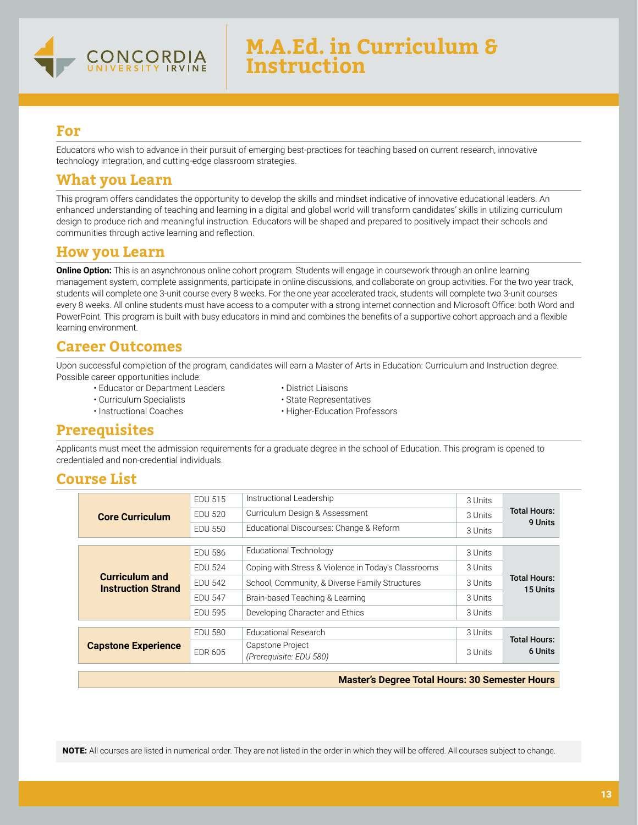

Educators who wish to advance in their pursuit of emerging best-practices for teaching based on current research, innovative technology integration, and cutting-edge classroom strategies.

# **What you Learn**

This program offers candidates the opportunity to develop the skills and mindset indicative of innovative educational leaders. An enhanced understanding of teaching and learning in a digital and global world will transform candidates' skills in utilizing curriculum design to produce rich and meaningful instruction. Educators will be shaped and prepared to positively impact their schools and communities through active learning and reflection.

# **How you Learn**

**Online Option:** This is an asynchronous online cohort program. Students will engage in coursework through an online learning management system, complete assignments, participate in online discussions, and collaborate on group activities. For the two year track, students will complete one 3-unit course every 8 weeks. For the one year accelerated track, students will complete two 3-unit courses every 8 weeks. All online students must have access to a computer with a strong internet connection and Microsoft Office: both Word and PowerPoint. This program is built with busy educators in mind and combines the benefits of a supportive cohort approach and a flexible learning environment.

### **Career Outcomes**

Upon successful completion of the program, candidates will earn a Master of Arts in Education: Curriculum and Instruction degree. Possible career opportunities include:

- Educator or Department Leaders District Liaisons
- Curriculum Specialists State Representatives
- 
- 
- 
- Instructional Coaches Higher-Education Professors

# **Prerequisites**

Applicants must meet the admission requirements for a graduate degree in the school of Education. This program is opened to credentialed and non-credential individuals.

### **Course List**

| <b>Core Curriculum</b>                             | <b>EDU 515</b> | Instructional Leadership                            | 3 Units |                                 |
|----------------------------------------------------|----------------|-----------------------------------------------------|---------|---------------------------------|
|                                                    | <b>EDU 520</b> | Curriculum Design & Assessment                      |         | <b>Total Hours:</b><br>9 Units  |
|                                                    | <b>EDU 550</b> | Educational Discourses: Change & Reform             | 3 Units |                                 |
|                                                    |                |                                                     |         |                                 |
|                                                    | <b>EDU 586</b> | <b>Educational Technology</b>                       | 3 Units |                                 |
|                                                    | <b>EDU 524</b> | Coping with Stress & Violence in Today's Classrooms | 3 Units | <b>Total Hours:</b><br>15 Units |
| <b>Curriculum and</b><br><b>Instruction Strand</b> | <b>EDU 542</b> | School, Community, & Diverse Family Structures      | 3 Units |                                 |
|                                                    | <b>EDU 547</b> | Brain-based Teaching & Learning                     | 3 Units |                                 |
|                                                    | <b>EDU 595</b> | Developing Character and Ethics                     | 3 Units |                                 |
|                                                    |                |                                                     |         |                                 |
| <b>Capstone Experience</b>                         | <b>EDU 580</b> | <b>Educational Research</b>                         | 3 Units |                                 |
|                                                    |                | Capstone Project                                    |         | <b>Total Hours:</b>             |
|                                                    | <b>EDR 605</b> | (Prerequisite: EDU 580)                             | 3 Units | 6 Units                         |
|                                                    |                |                                                     |         |                                 |

#### **Master's Degree Total Hours: 30 Semester Hours**

NOTE: All courses are listed in numerical order. They are not listed in the order in which they will be offered. All courses subject to change.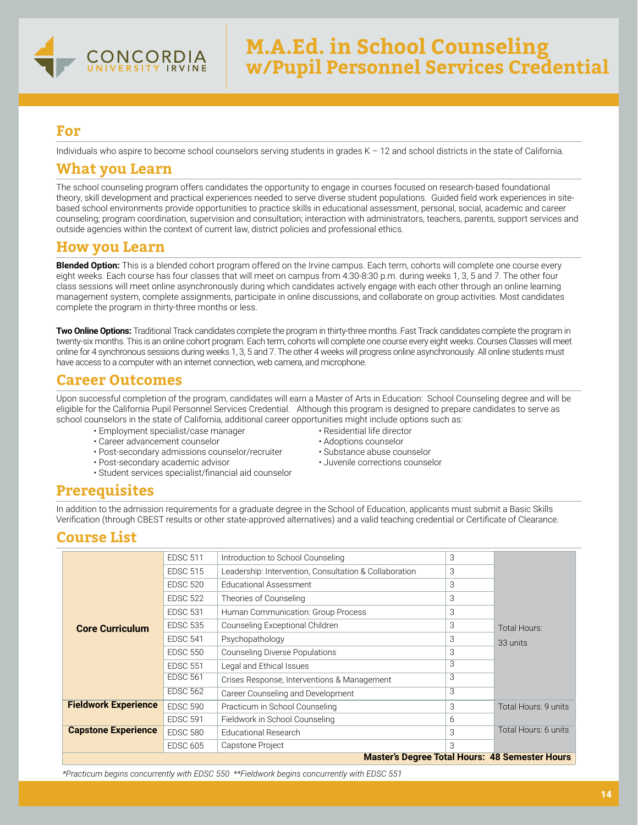

Individuals who aspire to become school counselors serving students in grades K – 12 and school districts in the state of California.

### **What you Learn**

The school counseling program offers candidates the opportunity to engage in courses focused on research-based foundational theory, skill development and practical experiences needed to serve diverse student populations. Guided field work experiences in sitebased school environments provide opportunities to practice skills in educational assessment, personal, social, academic and career counseling; program coordination, supervision and consultation; interaction with administrators, teachers, parents, support services and outside agencies within the context of current law, district policies and professional ethics.

### **How you Learn**

**Blended Option:** This is a blended cohort program offered on the Irvine campus. Each term, cohorts will complete one course every eight weeks. Each course has four classes that will meet on campus from 4:30-8:30 p.m. during weeks 1, 3, 5 and 7. The other four class sessions will meet online asynchronously during which candidates actively engage with each other through an online learning management system, complete assignments, participate in online discussions, and collaborate on group activities. Most candidates complete the program in thirty-three months or less.

**Two Online Options:** Traditional Track candidates complete the program in thirty-three months. Fast Track candidates complete the program in twenty-six months. This is an online cohort program. Each term, cohorts will complete one course every eight weeks. Courses Classes will meet online for 4 synchronous sessions during weeks 1, 3, 5 and 7. The other 4 weeks will progress online asynchronously. All online students must have access to a computer with an internet connection, web camera, and microphone.

# **Career Outcomes**

Upon successful completion of the program, candidates will earn a Master of Arts in Education: School Counseling degree and will be eligible for the California Pupil Personnel Services Credential. Although this program is designed to prepare candidates to serve as school counselors in the state of California, additional career opportunities might include options such as:

- Employment specialist/case manager Pesidential life director Career advancement counselor Residential life director
- 
- Career advancement counselor<br>• Post-secondary admissions counselor/recruiter Substance abuse counselor • Post-secondary admissions counselor/recruiter
- Post-secondary academic advisor Juvenile corrections counselor
- Student services specialist/financial aid counselor
- 
- 
- 

# **Prerequisites**

In addition to the admission requirements for a graduate degree in the School of Education, applicants must submit a Basic Skills Verification (through CBEST results or other state-approved alternatives) and a valid teaching credential or Certificate of Clearance.

# **Course List**

|                                                       | <b>EDSC 511</b> | Introduction to School Counseling                      | 3 |                      |  |  |
|-------------------------------------------------------|-----------------|--------------------------------------------------------|---|----------------------|--|--|
|                                                       | <b>EDSC 515</b> | Leadership: Intervention, Consultation & Collaboration | 3 |                      |  |  |
|                                                       | <b>EDSC 520</b> | <b>Educational Assessment</b>                          | 3 |                      |  |  |
|                                                       | <b>EDSC 522</b> | Theories of Counseling                                 | 3 |                      |  |  |
|                                                       | <b>EDSC 531</b> | Human Communication: Group Process                     | 3 |                      |  |  |
| <b>Core Curriculum</b>                                | <b>EDSC 535</b> | Counseling Exceptional Children                        | 3 | Total Hours:         |  |  |
|                                                       | <b>EDSC 541</b> | Psychopathology                                        | 3 | 33 units             |  |  |
|                                                       | <b>EDSC 550</b> | <b>Counseling Diverse Populations</b>                  | 3 |                      |  |  |
|                                                       | <b>EDSC 551</b> | Legal and Ethical Issues                               | 3 |                      |  |  |
|                                                       | <b>EDSC 561</b> | Crises Response, Interventions & Management            | 3 |                      |  |  |
|                                                       | <b>EDSC 562</b> | Career Counseling and Development                      | 3 |                      |  |  |
| <b>Fieldwork Experience</b>                           | <b>EDSC 590</b> | Practicum in School Counseling                         | 3 | Total Hours: 9 units |  |  |
|                                                       | <b>EDSC 591</b> | Fieldwork in School Counseling                         | 6 |                      |  |  |
| <b>Capstone Experience</b>                            | <b>EDSC 580</b> | <b>Educational Research</b>                            | 3 | Total Hours: 6 units |  |  |
|                                                       | <b>EDSC 605</b> | Capstone Project                                       | 3 |                      |  |  |
| <b>Master's Degree Total Hours: 48 Semester Hours</b> |                 |                                                        |   |                      |  |  |

*\*Practicum begins concurrently with EDSC 550 \*\*Fieldwork begins concurrently with EDSC 551*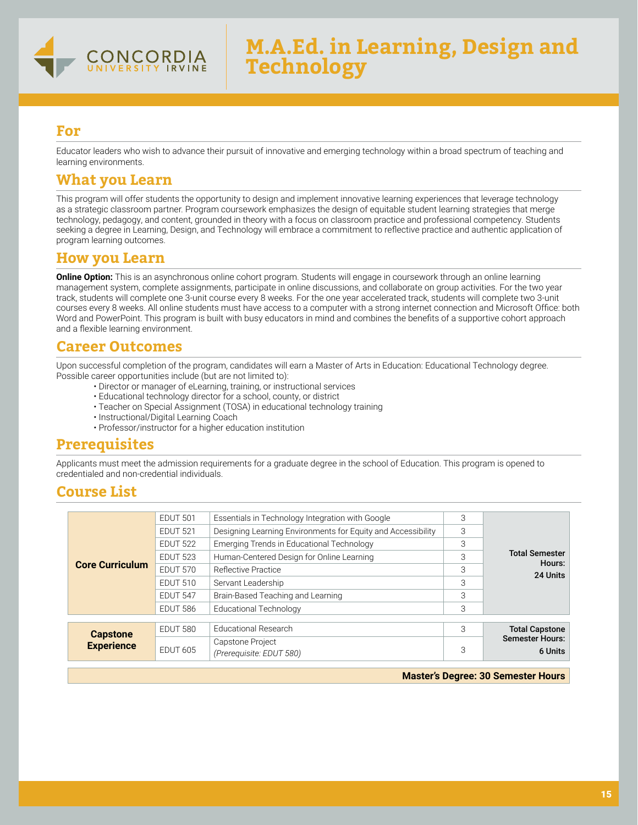

Educator leaders who wish to advance their pursuit of innovative and emerging technology within a broad spectrum of teaching and learning environments.

# **What you Learn**

This program will offer students the opportunity to design and implement innovative learning experiences that leverage technology as a strategic classroom partner. Program coursework emphasizes the design of equitable student learning strategies that merge technology, pedagogy, and content, grounded in theory with a focus on classroom practice and professional competency. Students seeking a degree in Learning, Design, and Technology will embrace a commitment to reflective practice and authentic application of program learning outcomes.

### **How you Learn**

**Online Option:** This is an asynchronous online cohort program. Students will engage in coursework through an online learning management system, complete assignments, participate in online discussions, and collaborate on group activities. For the two year track, students will complete one 3-unit course every 8 weeks. For the one year accelerated track, students will complete two 3-unit courses every 8 weeks. All online students must have access to a computer with a strong internet connection and Microsoft Office: both Word and PowerPoint. This program is built with busy educators in mind and combines the benefits of a supportive cohort approach and a flexible learning environment.

# **Career Outcomes**

Upon successful completion of the program, candidates will earn a Master of Arts in Education: Educational Technology degree. Possible career opportunities include (but are not limited to):

- Director or manager of eLearning, training, or instructional services
- Educational technology director for a school, county, or district
- Teacher on Special Assignment (TOSA) in educational technology training
- Instructional/Digital Learning Coach
- Professor/instructor for a higher education institution

# **Prerequisites**

Applicants must meet the admission requirements for a graduate degree in the school of Education. This program is opened to credentialed and non-credential individuals.

# **Course List**

| <b>Core Curriculum</b> | EDUT 501        | Essentials in Technology Integration with Google             | 3 |                                 |
|------------------------|-----------------|--------------------------------------------------------------|---|---------------------------------|
|                        | <b>EDUT 521</b> | Designing Learning Environments for Equity and Accessibility | 3 |                                 |
|                        | <b>EDUT 522</b> | <b>Emerging Trends in Educational Technology</b>             |   |                                 |
|                        | <b>EDUT 523</b> | Human-Centered Design for Online Learning                    | 3 | <b>Total Semester</b><br>Hours: |
|                        | <b>EDUT 570</b> | Reflective Practice                                          |   | 24 Units                        |
|                        | <b>EDUT 510</b> | Servant Leadership                                           | 3 |                                 |
|                        | <b>EDUT 547</b> | Brain-Based Teaching and Learning                            | 3 |                                 |
|                        | <b>EDUT 586</b> | <b>Educational Technology</b>                                | 3 |                                 |
|                        |                 |                                                              |   |                                 |
| <b>Capstone</b>        | <b>EDUT 580</b> | Educational Research                                         | 3 | <b>Total Capstone</b>           |
| <b>Experience</b>      |                 | Capstone Project                                             |   | <b>Semester Hours:</b>          |
|                        | <b>EDUT 605</b> | (Prerequisite: EDUT 580)                                     | 3 | 6 Units                         |

**Master's Degree: 30 Semester Hours**